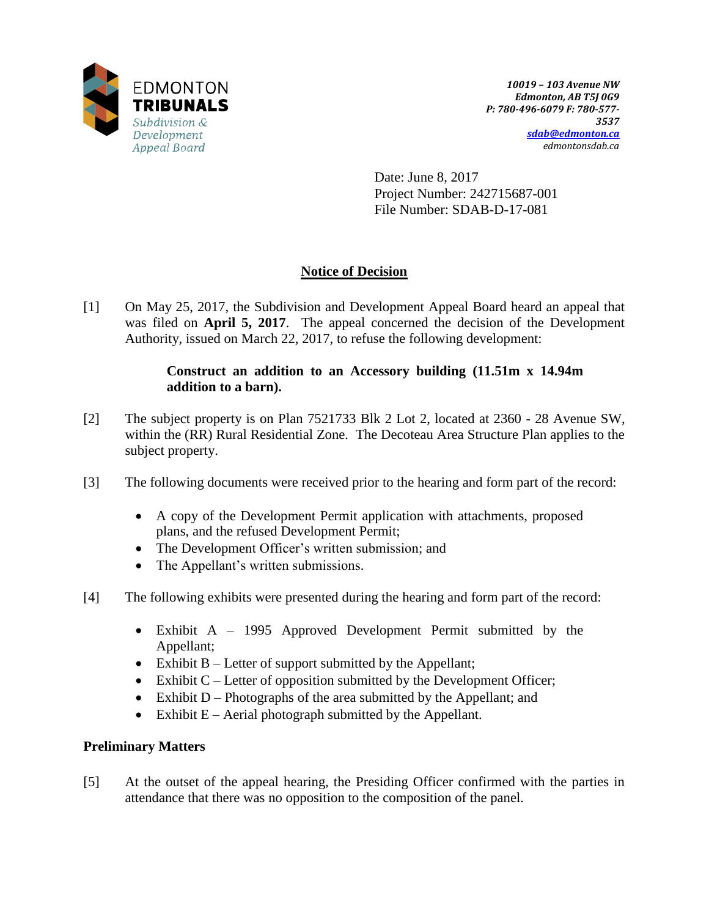

Date: June 8, 2017 Project Number: 242715687-001 File Number: SDAB-D-17-081

# **Notice of Decision**

[1] On May 25, 2017, the Subdivision and Development Appeal Board heard an appeal that was filed on **April 5, 2017**. The appeal concerned the decision of the Development Authority, issued on March 22, 2017, to refuse the following development:

## **Construct an addition to an Accessory building (11.51m x 14.94m addition to a barn).**

- [2] The subject property is on Plan 7521733 Blk 2 Lot 2, located at 2360 28 Avenue SW, within the (RR) Rural Residential Zone. The Decoteau Area Structure Plan applies to the subject property.
- [3] The following documents were received prior to the hearing and form part of the record:
	- A copy of the Development Permit application with attachments, proposed plans, and the refused Development Permit;
	- The Development Officer's written submission; and
	- The Appellant's written submissions.
- [4] The following exhibits were presented during the hearing and form part of the record:
	- Exhibit A 1995 Approved Development Permit submitted by the Appellant;
	- Exhibit  $B$  Letter of support submitted by the Appellant;
	- $\bullet$  Exhibit C Letter of opposition submitted by the Development Officer;
	- Exhibit  $D -$ Photographs of the area submitted by the Appellant; and
	- Exhibit  $E -$  Aerial photograph submitted by the Appellant.

## **Preliminary Matters**

[5] At the outset of the appeal hearing, the Presiding Officer confirmed with the parties in attendance that there was no opposition to the composition of the panel.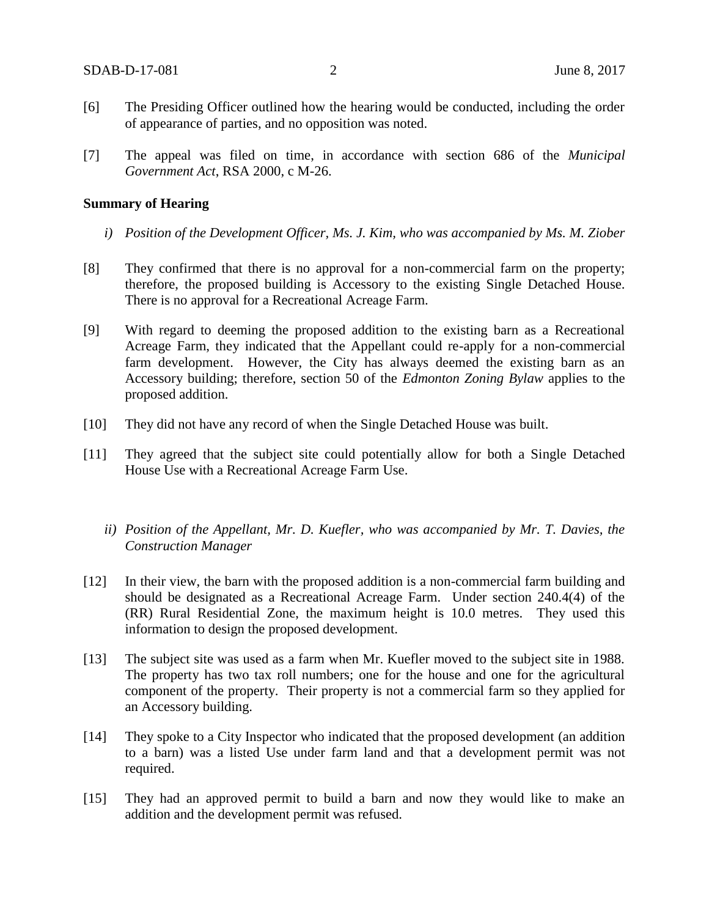- [6] The Presiding Officer outlined how the hearing would be conducted, including the order of appearance of parties, and no opposition was noted.
- [7] The appeal was filed on time, in accordance with section 686 of the *Municipal Government Act*, RSA 2000, c M-26.

#### **Summary of Hearing**

- *i) Position of the Development Officer, Ms. J. Kim, who was accompanied by Ms. M. Ziober*
- [8] They confirmed that there is no approval for a non-commercial farm on the property; therefore, the proposed building is Accessory to the existing Single Detached House. There is no approval for a Recreational Acreage Farm.
- [9] With regard to deeming the proposed addition to the existing barn as a Recreational Acreage Farm, they indicated that the Appellant could re-apply for a non-commercial farm development. However, the City has always deemed the existing barn as an Accessory building; therefore, section 50 of the *Edmonton Zoning Bylaw* applies to the proposed addition.
- [10] They did not have any record of when the Single Detached House was built.
- [11] They agreed that the subject site could potentially allow for both a Single Detached House Use with a Recreational Acreage Farm Use.
	- *ii) Position of the Appellant, Mr. D. Kuefler, who was accompanied by Mr. T. Davies, the Construction Manager*
- [12] In their view, the barn with the proposed addition is a non-commercial farm building and should be designated as a Recreational Acreage Farm. Under section 240.4(4) of the (RR) Rural Residential Zone, the maximum height is 10.0 metres. They used this information to design the proposed development.
- [13] The subject site was used as a farm when Mr. Kuefler moved to the subject site in 1988. The property has two tax roll numbers; one for the house and one for the agricultural component of the property. Their property is not a commercial farm so they applied for an Accessory building.
- [14] They spoke to a City Inspector who indicated that the proposed development (an addition to a barn) was a listed Use under farm land and that a development permit was not required.
- [15] They had an approved permit to build a barn and now they would like to make an addition and the development permit was refused.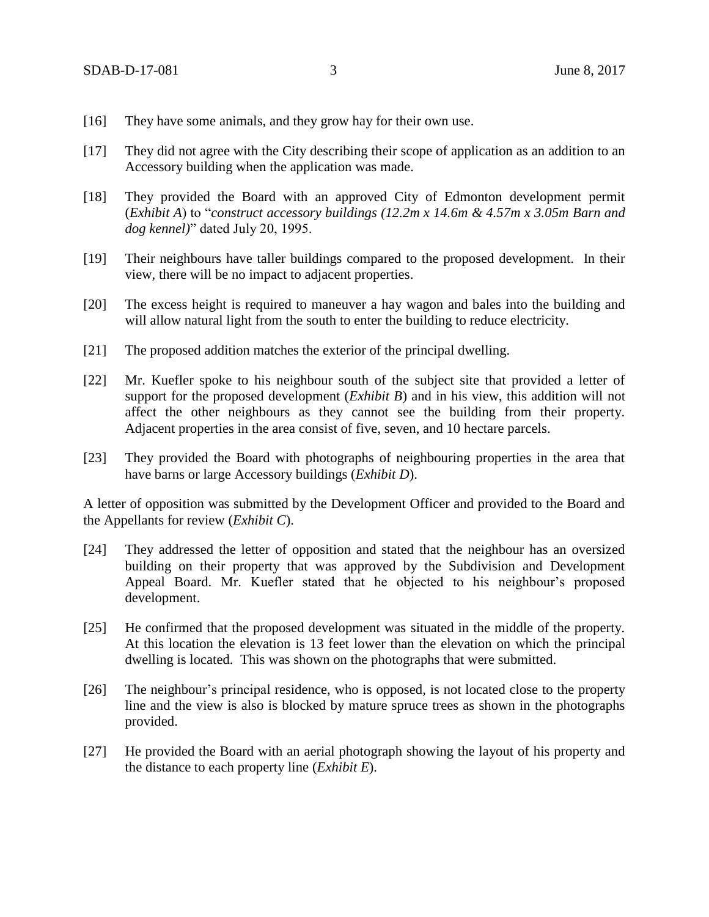- [16] They have some animals, and they grow hay for their own use.
- [17] They did not agree with the City describing their scope of application as an addition to an Accessory building when the application was made.
- [18] They provided the Board with an approved City of Edmonton development permit (*Exhibit A*) to "*construct accessory buildings (12.2m x 14.6m & 4.57m x 3.05m Barn and dog kennel)*" dated July 20, 1995.
- [19] Their neighbours have taller buildings compared to the proposed development. In their view, there will be no impact to adjacent properties.
- [20] The excess height is required to maneuver a hay wagon and bales into the building and will allow natural light from the south to enter the building to reduce electricity.
- [21] The proposed addition matches the exterior of the principal dwelling.
- [22] Mr. Kuefler spoke to his neighbour south of the subject site that provided a letter of support for the proposed development (*Exhibit B*) and in his view, this addition will not affect the other neighbours as they cannot see the building from their property. Adjacent properties in the area consist of five, seven, and 10 hectare parcels.
- [23] They provided the Board with photographs of neighbouring properties in the area that have barns or large Accessory buildings (*Exhibit D*).

A letter of opposition was submitted by the Development Officer and provided to the Board and the Appellants for review (*Exhibit C*).

- [24] They addressed the letter of opposition and stated that the neighbour has an oversized building on their property that was approved by the Subdivision and Development Appeal Board. Mr. Kuefler stated that he objected to his neighbour's proposed development.
- [25] He confirmed that the proposed development was situated in the middle of the property. At this location the elevation is 13 feet lower than the elevation on which the principal dwelling is located. This was shown on the photographs that were submitted.
- [26] The neighbour's principal residence, who is opposed, is not located close to the property line and the view is also is blocked by mature spruce trees as shown in the photographs provided.
- [27] He provided the Board with an aerial photograph showing the layout of his property and the distance to each property line (*Exhibit E*).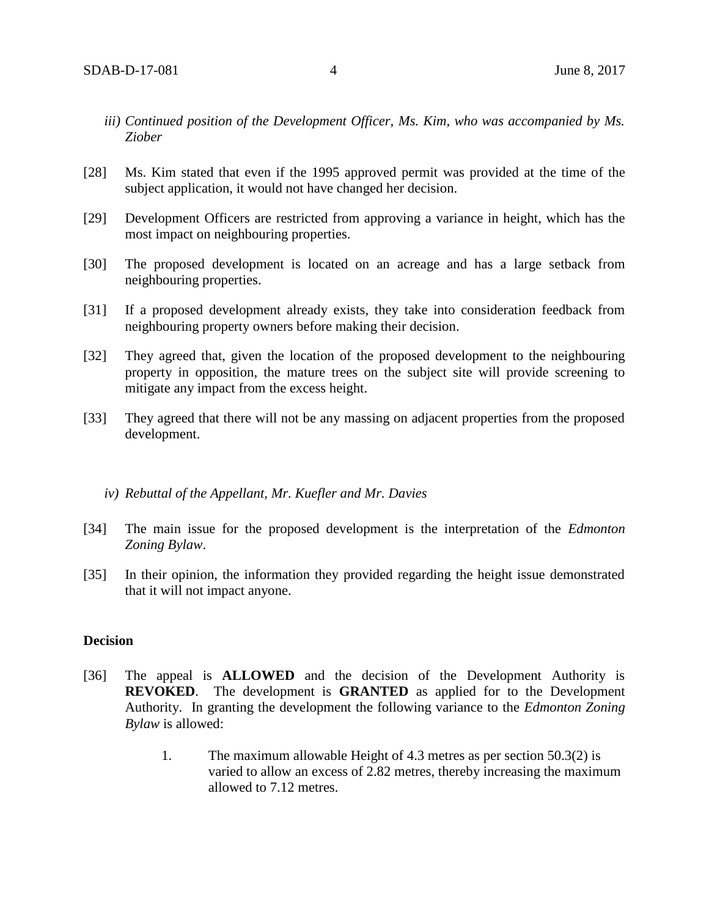- *iii) Continued position of the Development Officer, Ms. Kim, who was accompanied by Ms. Ziober*
- [28] Ms. Kim stated that even if the 1995 approved permit was provided at the time of the subject application, it would not have changed her decision.
- [29] Development Officers are restricted from approving a variance in height, which has the most impact on neighbouring properties.
- [30] The proposed development is located on an acreage and has a large setback from neighbouring properties.
- [31] If a proposed development already exists, they take into consideration feedback from neighbouring property owners before making their decision.
- [32] They agreed that, given the location of the proposed development to the neighbouring property in opposition, the mature trees on the subject site will provide screening to mitigate any impact from the excess height.
- [33] They agreed that there will not be any massing on adjacent properties from the proposed development.

### *iv) Rebuttal of the Appellant, Mr. Kuefler and Mr. Davies*

- [34] The main issue for the proposed development is the interpretation of the *Edmonton Zoning Bylaw*.
- [35] In their opinion, the information they provided regarding the height issue demonstrated that it will not impact anyone.

### **Decision**

- [36] The appeal is **ALLOWED** and the decision of the Development Authority is **REVOKED**. The development is **GRANTED** as applied for to the Development Authority. In granting the development the following variance to the *Edmonton Zoning Bylaw* is allowed:
	- 1. The maximum allowable Height of 4.3 metres as per section 50.3(2) is varied to allow an excess of 2.82 metres, thereby increasing the maximum allowed to 7.12 metres.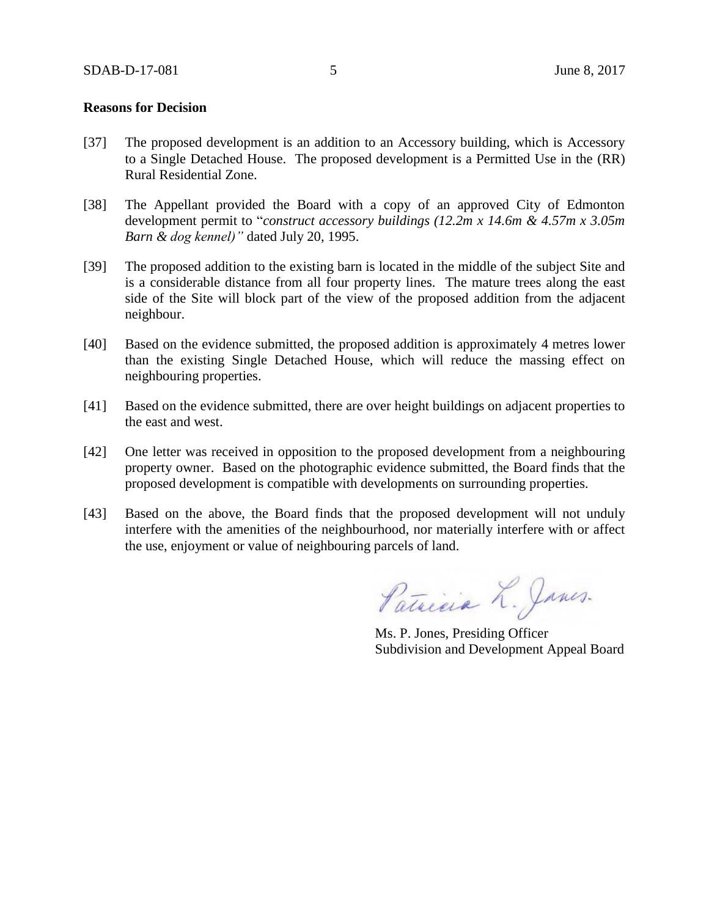### **Reasons for Decision**

- [37] The proposed development is an addition to an Accessory building, which is Accessory to a Single Detached House. The proposed development is a Permitted Use in the (RR) Rural Residential Zone.
- [38] The Appellant provided the Board with a copy of an approved City of Edmonton development permit to "*construct accessory buildings (12.2m x 14.6m & 4.57m x 3.05m Barn & dog kennel)"* dated July 20, 1995.
- [39] The proposed addition to the existing barn is located in the middle of the subject Site and is a considerable distance from all four property lines. The mature trees along the east side of the Site will block part of the view of the proposed addition from the adjacent neighbour.
- [40] Based on the evidence submitted, the proposed addition is approximately 4 metres lower than the existing Single Detached House, which will reduce the massing effect on neighbouring properties.
- [41] Based on the evidence submitted, there are over height buildings on adjacent properties to the east and west.
- [42] One letter was received in opposition to the proposed development from a neighbouring property owner. Based on the photographic evidence submitted, the Board finds that the proposed development is compatible with developments on surrounding properties.
- [43] Based on the above, the Board finds that the proposed development will not unduly interfere with the amenities of the neighbourhood, nor materially interfere with or affect the use, enjoyment or value of neighbouring parcels of land.

Patricia L. Janes.

Ms. P. Jones, Presiding Officer Subdivision and Development Appeal Board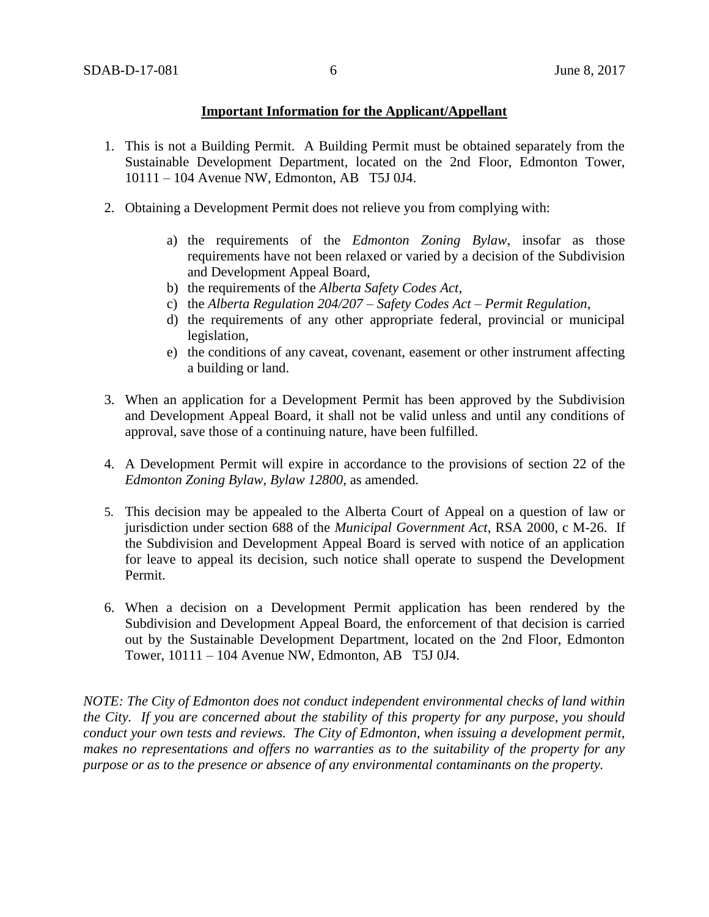### **Important Information for the Applicant/Appellant**

- 1. This is not a Building Permit. A Building Permit must be obtained separately from the Sustainable Development Department, located on the 2nd Floor, Edmonton Tower, 10111 – 104 Avenue NW, Edmonton, AB T5J 0J4.
- 2. Obtaining a Development Permit does not relieve you from complying with:
	- a) the requirements of the *Edmonton Zoning Bylaw*, insofar as those requirements have not been relaxed or varied by a decision of the Subdivision and Development Appeal Board,
	- b) the requirements of the *Alberta Safety Codes Act*,
	- c) the *Alberta Regulation 204/207 – Safety Codes Act – Permit Regulation*,
	- d) the requirements of any other appropriate federal, provincial or municipal legislation,
	- e) the conditions of any caveat, covenant, easement or other instrument affecting a building or land.
- 3. When an application for a Development Permit has been approved by the Subdivision and Development Appeal Board, it shall not be valid unless and until any conditions of approval, save those of a continuing nature, have been fulfilled.
- 4. A Development Permit will expire in accordance to the provisions of section 22 of the *Edmonton Zoning Bylaw, Bylaw 12800*, as amended.
- 5. This decision may be appealed to the Alberta Court of Appeal on a question of law or jurisdiction under section 688 of the *Municipal Government Act*, RSA 2000, c M-26. If the Subdivision and Development Appeal Board is served with notice of an application for leave to appeal its decision, such notice shall operate to suspend the Development Permit.
- 6. When a decision on a Development Permit application has been rendered by the Subdivision and Development Appeal Board, the enforcement of that decision is carried out by the Sustainable Development Department, located on the 2nd Floor, Edmonton Tower, 10111 – 104 Avenue NW, Edmonton, AB T5J 0J4.

*NOTE: The City of Edmonton does not conduct independent environmental checks of land within the City. If you are concerned about the stability of this property for any purpose, you should conduct your own tests and reviews. The City of Edmonton, when issuing a development permit, makes no representations and offers no warranties as to the suitability of the property for any purpose or as to the presence or absence of any environmental contaminants on the property.*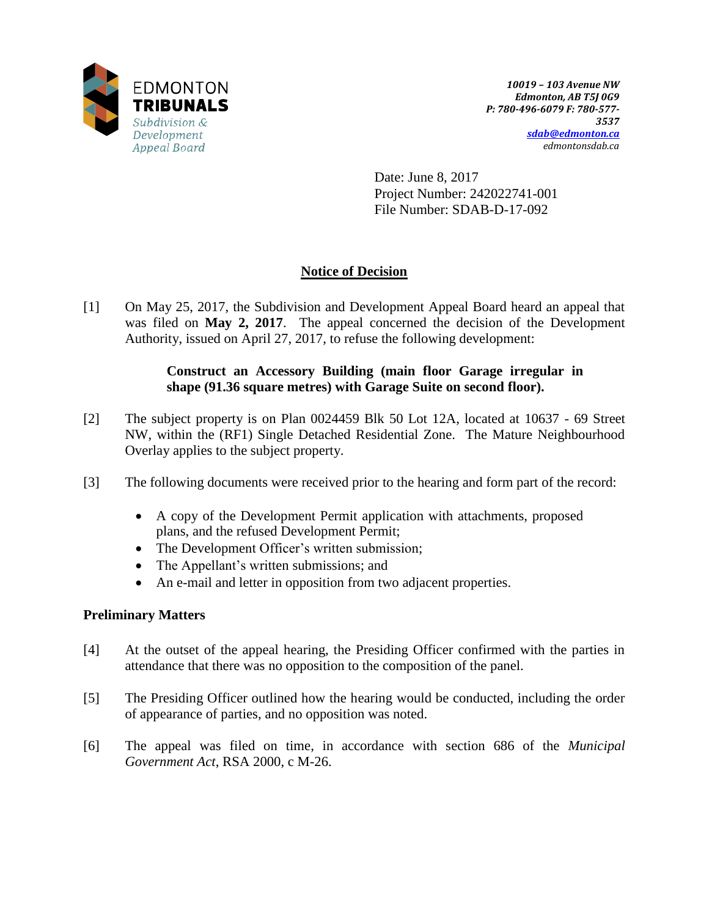

Date: June 8, 2017 Project Number: 242022741-001 File Number: SDAB-D-17-092

# **Notice of Decision**

[1] On May 25, 2017, the Subdivision and Development Appeal Board heard an appeal that was filed on **May 2, 2017**. The appeal concerned the decision of the Development Authority, issued on April 27, 2017, to refuse the following development:

## **Construct an Accessory Building (main floor Garage irregular in shape (91.36 square metres) with Garage Suite on second floor).**

- [2] The subject property is on Plan 0024459 Blk 50 Lot 12A, located at 10637 69 Street NW, within the (RF1) Single Detached Residential Zone. The Mature Neighbourhood Overlay applies to the subject property.
- [3] The following documents were received prior to the hearing and form part of the record:
	- A copy of the Development Permit application with attachments, proposed plans, and the refused Development Permit;
	- The Development Officer's written submission;
	- The Appellant's written submissions; and
	- An e-mail and letter in opposition from two adjacent properties.

# **Preliminary Matters**

- [4] At the outset of the appeal hearing, the Presiding Officer confirmed with the parties in attendance that there was no opposition to the composition of the panel.
- [5] The Presiding Officer outlined how the hearing would be conducted, including the order of appearance of parties, and no opposition was noted.
- [6] The appeal was filed on time, in accordance with section 686 of the *Municipal Government Act*, RSA 2000, c M-26.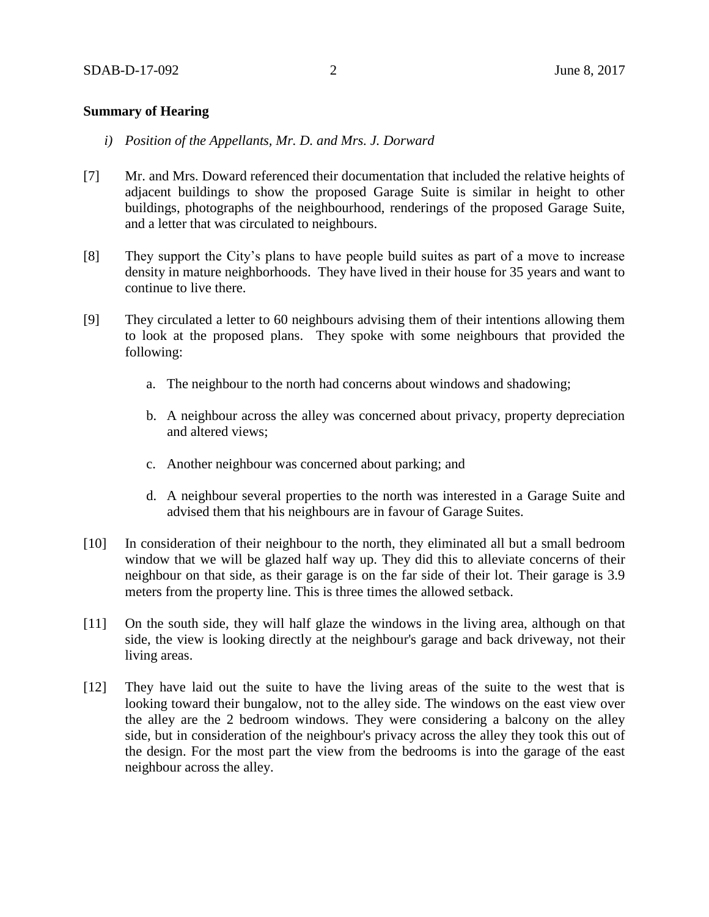### **Summary of Hearing**

- *i) Position of the Appellants, Mr. D. and Mrs. J. Dorward*
- [7] Mr. and Mrs. Doward referenced their documentation that included the relative heights of adjacent buildings to show the proposed Garage Suite is similar in height to other buildings, photographs of the neighbourhood, renderings of the proposed Garage Suite, and a letter that was circulated to neighbours.
- [8] They support the City's plans to have people build suites as part of a move to increase density in mature neighborhoods. They have lived in their house for 35 years and want to continue to live there.
- [9] They circulated a letter to 60 neighbours advising them of their intentions allowing them to look at the proposed plans. They spoke with some neighbours that provided the following:
	- a. The neighbour to the north had concerns about windows and shadowing;
	- b. A neighbour across the alley was concerned about privacy, property depreciation and altered views;
	- c. Another neighbour was concerned about parking; and
	- d. A neighbour several properties to the north was interested in a Garage Suite and advised them that his neighbours are in favour of Garage Suites.
- [10] In consideration of their neighbour to the north, they eliminated all but a small bedroom window that we will be glazed half way up. They did this to alleviate concerns of their neighbour on that side, as their garage is on the far side of their lot. Their garage is 3.9 meters from the property line. This is three times the allowed setback.
- [11] On the south side, they will half glaze the windows in the living area, although on that side, the view is looking directly at the neighbour's garage and back driveway, not their living areas.
- [12] They have laid out the suite to have the living areas of the suite to the west that is looking toward their bungalow, not to the alley side. The windows on the east view over the alley are the 2 bedroom windows. They were considering a balcony on the alley side, but in consideration of the neighbour's privacy across the alley they took this out of the design. For the most part the view from the bedrooms is into the garage of the east neighbour across the alley.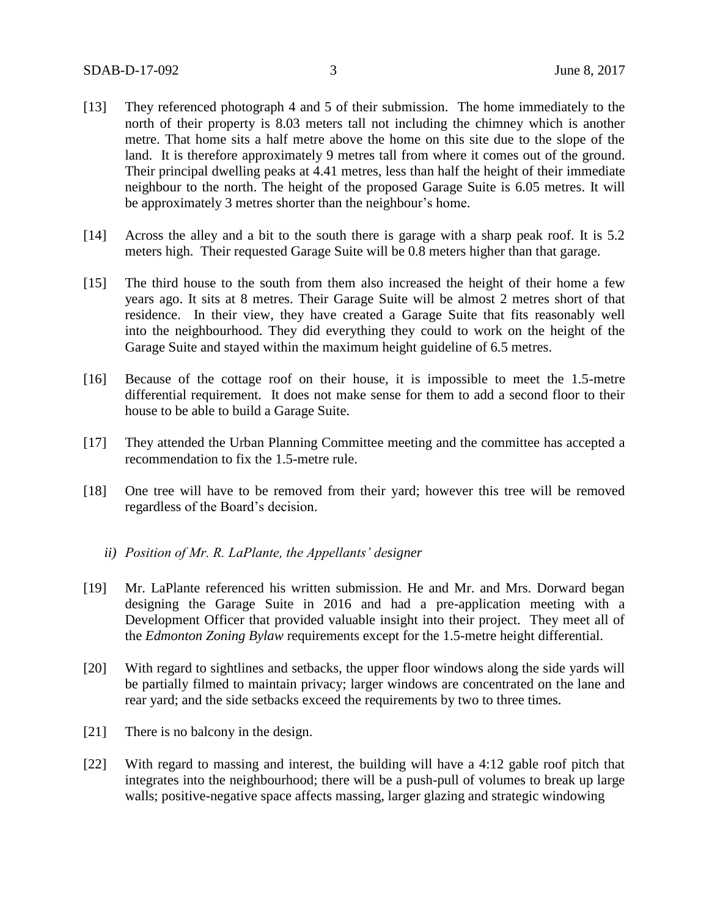- [13] They referenced photograph 4 and 5 of their submission. The home immediately to the north of their property is 8.03 meters tall not including the chimney which is another metre. That home sits a half metre above the home on this site due to the slope of the land. It is therefore approximately 9 metres tall from where it comes out of the ground. Their principal dwelling peaks at 4.41 metres, less than half the height of their immediate neighbour to the north. The height of the proposed Garage Suite is 6.05 metres. It will be approximately 3 metres shorter than the neighbour's home.
- [14] Across the alley and a bit to the south there is garage with a sharp peak roof. It is 5.2 meters high. Their requested Garage Suite will be 0.8 meters higher than that garage.
- [15] The third house to the south from them also increased the height of their home a few years ago. It sits at 8 metres. Their Garage Suite will be almost 2 metres short of that residence. In their view, they have created a Garage Suite that fits reasonably well into the neighbourhood. They did everything they could to work on the height of the Garage Suite and stayed within the maximum height guideline of 6.5 metres.
- [16] Because of the cottage roof on their house, it is impossible to meet the 1.5-metre differential requirement. It does not make sense for them to add a second floor to their house to be able to build a Garage Suite.
- [17] They attended the Urban Planning Committee meeting and the committee has accepted a recommendation to fix the 1.5-metre rule.
- [18] One tree will have to be removed from their yard; however this tree will be removed regardless of the Board's decision.
	- *ii) Position of Mr. R. LaPlante, the Appellants' designer*
- [19] Mr. LaPlante referenced his written submission. He and Mr. and Mrs. Dorward began designing the Garage Suite in 2016 and had a pre-application meeting with a Development Officer that provided valuable insight into their project. They meet all of the *Edmonton Zoning Bylaw* requirements except for the 1.5-metre height differential.
- [20] With regard to sightlines and setbacks, the upper floor windows along the side yards will be partially filmed to maintain privacy; larger windows are concentrated on the lane and rear yard; and the side setbacks exceed the requirements by two to three times.
- [21] There is no balcony in the design.
- [22] With regard to massing and interest, the building will have a 4:12 gable roof pitch that integrates into the neighbourhood; there will be a push-pull of volumes to break up large walls; positive-negative space affects massing, larger glazing and strategic windowing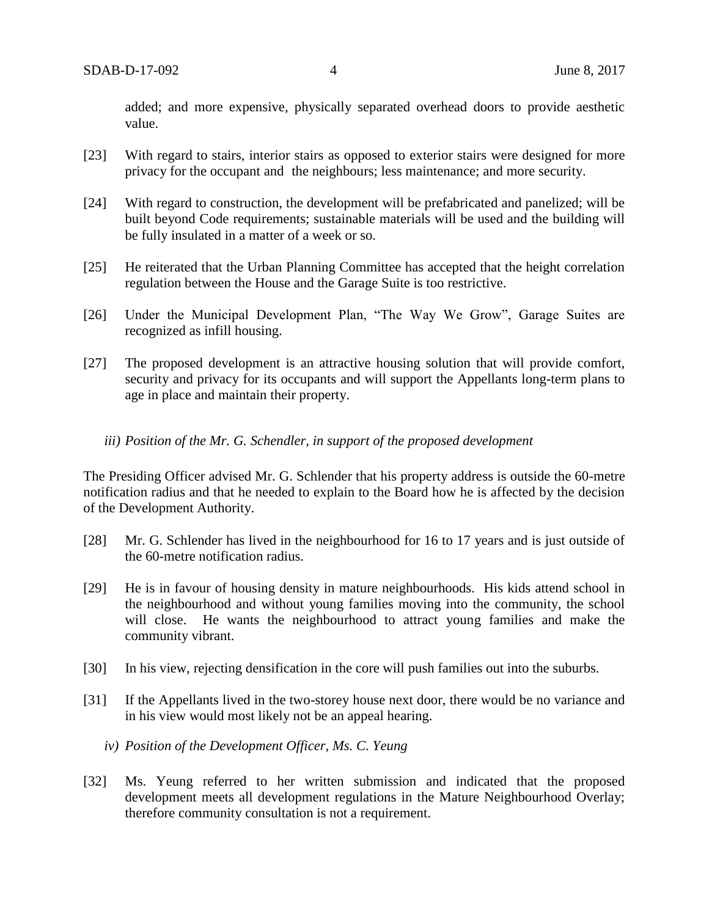added; and more expensive, physically separated overhead doors to provide aesthetic value.

- [23] With regard to stairs, interior stairs as opposed to exterior stairs were designed for more privacy for the occupant and the neighbours; less maintenance; and more security.
- [24] With regard to construction, the development will be prefabricated and panelized; will be built beyond Code requirements; sustainable materials will be used and the building will be fully insulated in a matter of a week or so.
- [25] He reiterated that the Urban Planning Committee has accepted that the height correlation regulation between the House and the Garage Suite is too restrictive.
- [26] Under the Municipal Development Plan, "The Way We Grow", Garage Suites are recognized as infill housing.
- [27] The proposed development is an attractive housing solution that will provide comfort, security and privacy for its occupants and will support the Appellants long-term plans to age in place and maintain their property.
	- *iii) Position of the Mr. G. Schendler, in support of the proposed development*

The Presiding Officer advised Mr. G. Schlender that his property address is outside the 60-metre notification radius and that he needed to explain to the Board how he is affected by the decision of the Development Authority.

- [28] Mr. G. Schlender has lived in the neighbourhood for 16 to 17 years and is just outside of the 60-metre notification radius.
- [29] He is in favour of housing density in mature neighbourhoods. His kids attend school in the neighbourhood and without young families moving into the community, the school will close. He wants the neighbourhood to attract young families and make the community vibrant.
- [30] In his view, rejecting densification in the core will push families out into the suburbs.
- [31] If the Appellants lived in the two-storey house next door, there would be no variance and in his view would most likely not be an appeal hearing.
	- *iv) Position of the Development Officer, Ms. C. Yeung*
- [32] Ms. Yeung referred to her written submission and indicated that the proposed development meets all development regulations in the Mature Neighbourhood Overlay; therefore community consultation is not a requirement.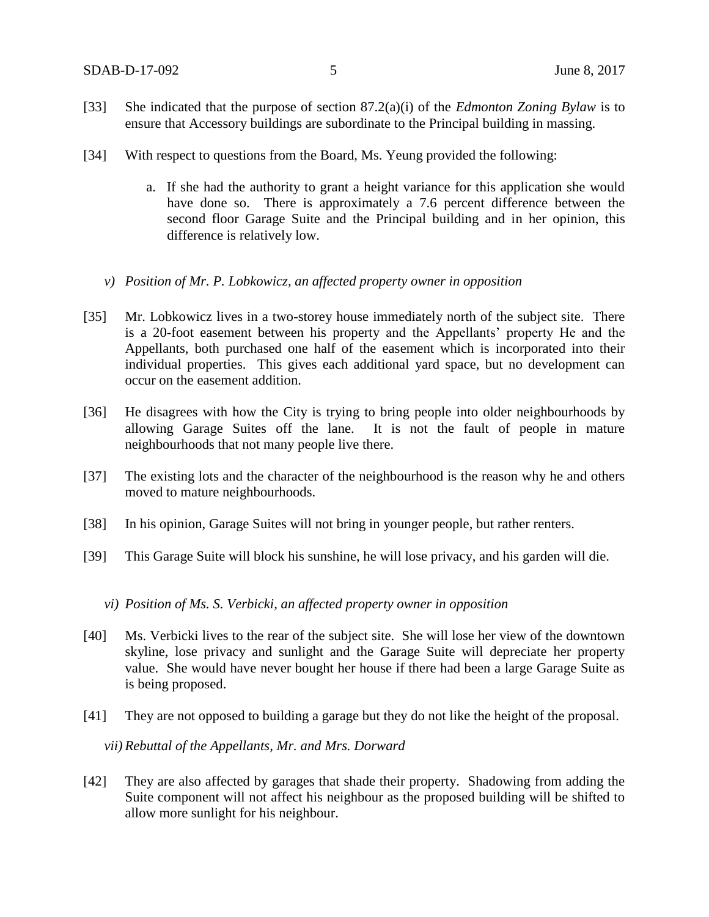- [33] She indicated that the purpose of section 87.2(a)(i) of the *Edmonton Zoning Bylaw* is to ensure that Accessory buildings are subordinate to the Principal building in massing.
- [34] With respect to questions from the Board, Ms. Yeung provided the following:
	- a. If she had the authority to grant a height variance for this application she would have done so. There is approximately a 7.6 percent difference between the second floor Garage Suite and the Principal building and in her opinion, this difference is relatively low.
	- *v) Position of Mr. P. Lobkowicz, an affected property owner in opposition*
- [35] Mr. Lobkowicz lives in a two-storey house immediately north of the subject site. There is a 20-foot easement between his property and the Appellants' property He and the Appellants, both purchased one half of the easement which is incorporated into their individual properties. This gives each additional yard space, but no development can occur on the easement addition.
- [36] He disagrees with how the City is trying to bring people into older neighbourhoods by allowing Garage Suites off the lane. It is not the fault of people in mature neighbourhoods that not many people live there.
- [37] The existing lots and the character of the neighbourhood is the reason why he and others moved to mature neighbourhoods.
- [38] In his opinion, Garage Suites will not bring in younger people, but rather renters.
- [39] This Garage Suite will block his sunshine, he will lose privacy, and his garden will die.
	- *vi) Position of Ms. S. Verbicki, an affected property owner in opposition*
- [40] Ms. Verbicki lives to the rear of the subject site. She will lose her view of the downtown skyline, lose privacy and sunlight and the Garage Suite will depreciate her property value. She would have never bought her house if there had been a large Garage Suite as is being proposed.
- [41] They are not opposed to building a garage but they do not like the height of the proposal.

*vii) Rebuttal of the Appellants, Mr. and Mrs. Dorward*

[42] They are also affected by garages that shade their property. Shadowing from adding the Suite component will not affect his neighbour as the proposed building will be shifted to allow more sunlight for his neighbour.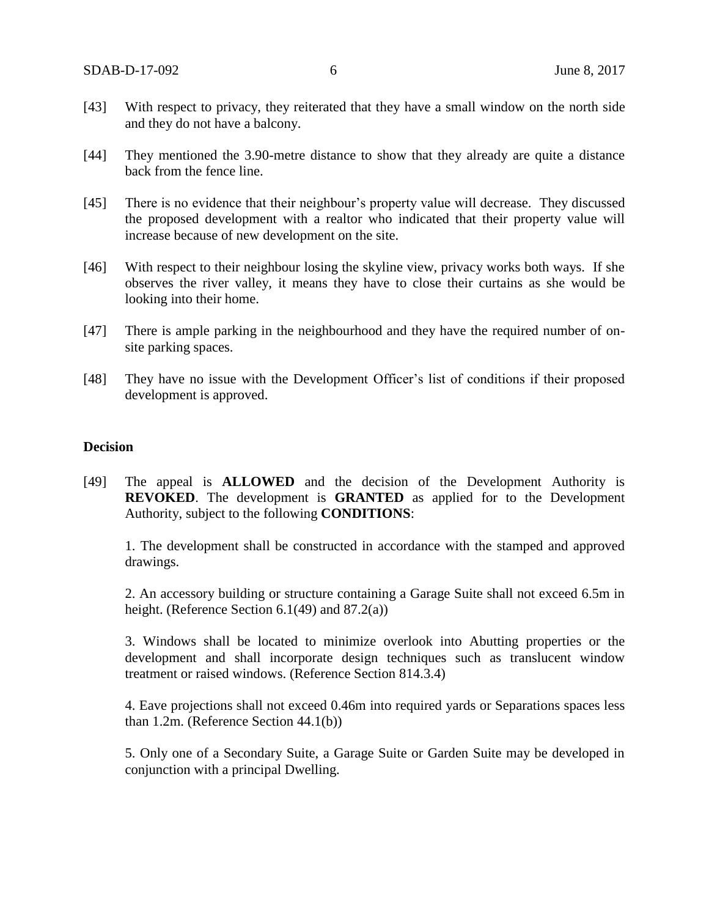- [43] With respect to privacy, they reiterated that they have a small window on the north side and they do not have a balcony.
- [44] They mentioned the 3.90-metre distance to show that they already are quite a distance back from the fence line.
- [45] There is no evidence that their neighbour's property value will decrease. They discussed the proposed development with a realtor who indicated that their property value will increase because of new development on the site.
- [46] With respect to their neighbour losing the skyline view, privacy works both ways. If she observes the river valley, it means they have to close their curtains as she would be looking into their home.
- [47] There is ample parking in the neighbourhood and they have the required number of onsite parking spaces.
- [48] They have no issue with the Development Officer's list of conditions if their proposed development is approved.

### **Decision**

[49] The appeal is **ALLOWED** and the decision of the Development Authority is **REVOKED**. The development is **GRANTED** as applied for to the Development Authority, subject to the following **CONDITIONS**:

1. The development shall be constructed in accordance with the stamped and approved drawings.

2. An accessory building or structure containing a Garage Suite shall not exceed 6.5m in height. (Reference Section  $6.1(49)$  and  $87.2(a)$ )

3. Windows shall be located to minimize overlook into Abutting properties or the development and shall incorporate design techniques such as translucent window treatment or raised windows. (Reference Section 814.3.4)

4. Eave projections shall not exceed 0.46m into required yards or Separations spaces less than 1.2m. (Reference Section 44.1(b))

5. Only one of a Secondary Suite, a Garage Suite or Garden Suite may be developed in conjunction with a principal Dwelling.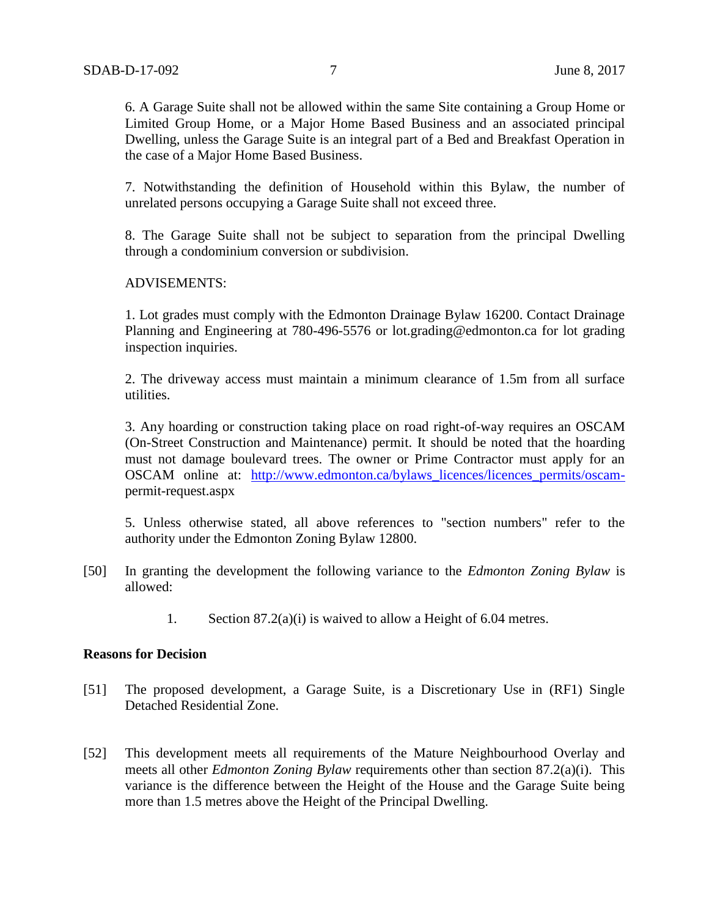6. A Garage Suite shall not be allowed within the same Site containing a Group Home or Limited Group Home, or a Major Home Based Business and an associated principal Dwelling, unless the Garage Suite is an integral part of a Bed and Breakfast Operation in the case of a Major Home Based Business.

7. Notwithstanding the definition of Household within this Bylaw, the number of unrelated persons occupying a Garage Suite shall not exceed three.

8. The Garage Suite shall not be subject to separation from the principal Dwelling through a condominium conversion or subdivision.

#### ADVISEMENTS:

1. Lot grades must comply with the Edmonton Drainage Bylaw 16200. Contact Drainage Planning and Engineering at 780-496-5576 or lot.grading@edmonton.ca for lot grading inspection inquiries.

2. The driveway access must maintain a minimum clearance of 1.5m from all surface utilities.

3. Any hoarding or construction taking place on road right-of-way requires an OSCAM (On-Street Construction and Maintenance) permit. It should be noted that the hoarding must not damage boulevard trees. The owner or Prime Contractor must apply for an OSCAM online at: http://www.edmonton.ca/bylaws licences/licences permits/oscampermit-request.aspx

5. Unless otherwise stated, all above references to "section numbers" refer to the authority under the Edmonton Zoning Bylaw 12800.

- [50] In granting the development the following variance to the *Edmonton Zoning Bylaw* is allowed:
	- 1. Section 87.2(a)(i) is waived to allow a Height of 6.04 metres.

#### **Reasons for Decision**

- [51] The proposed development, a Garage Suite, is a Discretionary Use in (RF1) Single Detached Residential Zone.
- [52] This development meets all requirements of the Mature Neighbourhood Overlay and meets all other *Edmonton Zoning Bylaw* requirements other than section 87.2(a)(i). This variance is the difference between the Height of the House and the Garage Suite being more than 1.5 metres above the Height of the Principal Dwelling.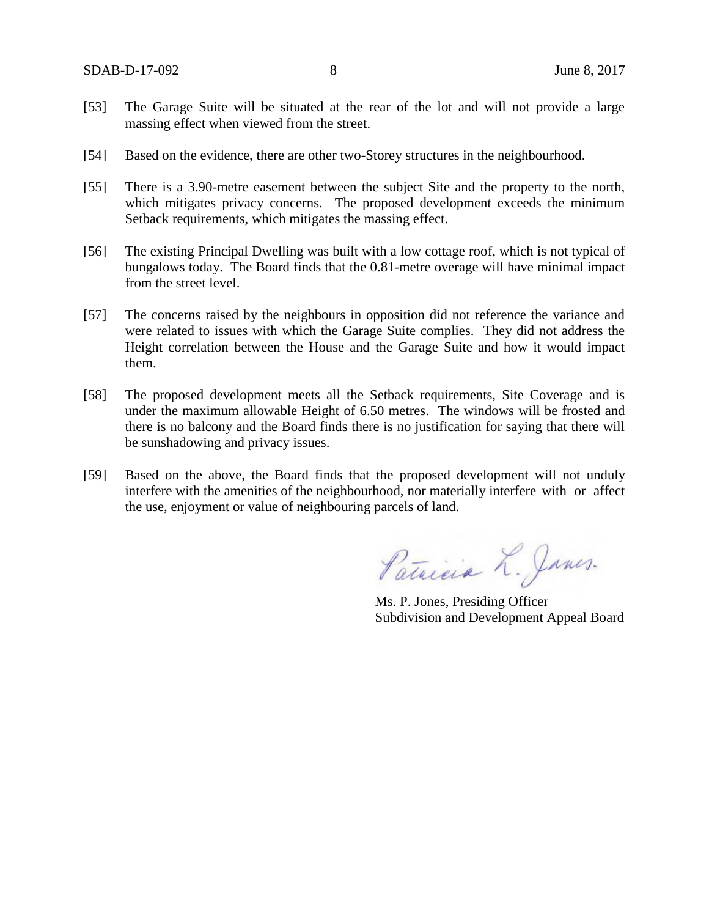- [53] The Garage Suite will be situated at the rear of the lot and will not provide a large massing effect when viewed from the street.
- [54] Based on the evidence, there are other two-Storey structures in the neighbourhood.
- [55] There is a 3.90-metre easement between the subject Site and the property to the north, which mitigates privacy concerns. The proposed development exceeds the minimum Setback requirements, which mitigates the massing effect.
- [56] The existing Principal Dwelling was built with a low cottage roof, which is not typical of bungalows today. The Board finds that the 0.81-metre overage will have minimal impact from the street level.
- [57] The concerns raised by the neighbours in opposition did not reference the variance and were related to issues with which the Garage Suite complies. They did not address the Height correlation between the House and the Garage Suite and how it would impact them.
- [58] The proposed development meets all the Setback requirements, Site Coverage and is under the maximum allowable Height of 6.50 metres. The windows will be frosted and there is no balcony and the Board finds there is no justification for saying that there will be sunshadowing and privacy issues.
- [59] Based on the above, the Board finds that the proposed development will not unduly interfere with the amenities of the neighbourhood, nor materially interfere with or affect the use, enjoyment or value of neighbouring parcels of land.

Patricia L. Janes.

Ms. P. Jones, Presiding Officer Subdivision and Development Appeal Board